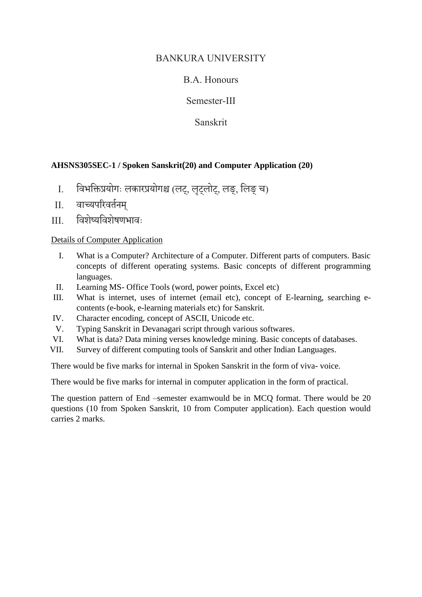### BANKURA UNIVERSITY

## B.A. Honours

Semester-III

Sanskrit

#### **AHSNS305SEC-1 / Spoken Sanskrit(20) and Computer Application (20)**

- I. विभविप्रयोगः लकारप्रयोगश्च (लट्, लटृ्लोट्, लङ्, वलङ्च)
- II. िाच्यपररिर्तनम्
- III. विशेष्यविशेषणभािः

#### Details of Computer Application

- I. What is a Computer? Architecture of a Computer. Different parts of computers. Basic concepts of different operating systems. Basic concepts of different programming languages.
- II. Learning MS- Office Tools (word, power points, Excel etc)
- III. What is internet, uses of internet (email etc), concept of E-learning, searching econtents (e-book, e-learning materials etc) for Sanskrit.
- IV. Character encoding, concept of ASCII, Unicode etc.
- V. Typing Sanskrit in Devanagari script through various softwares.
- VI. What is data? Data mining verses knowledge mining. Basic concepts of databases.
- VII. Survey of different computing tools of Sanskrit and other Indian Languages.

There would be five marks for internal in Spoken Sanskrit in the form of viva- voice.

There would be five marks for internal in computer application in the form of practical.

The question pattern of End –semester examwould be in MCQ format. There would be 20 questions (10 from Spoken Sanskrit, 10 from Computer application). Each question would carries 2 marks.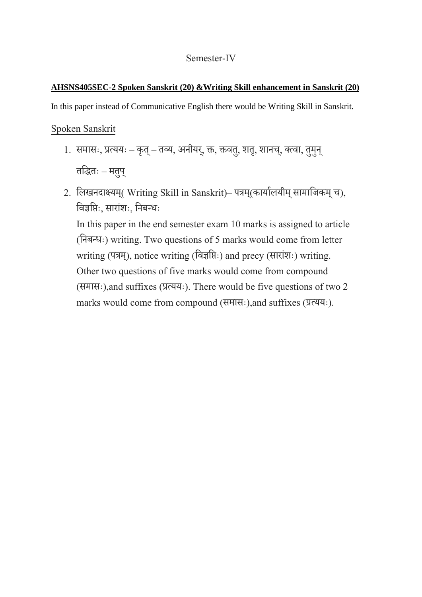### **AHSNS405SEC-2 Spoken Sanskrit (20) &Writing Skill enhancement in Sanskrit (20)**

In this paper instead of Communicative English there would be Writing Skill in Sanskrit.

## Spoken Sanskrit

- 1. समासः, प्रत्ययः कृत् तव्य, अनीयर्, क्त, क्तवतु, शतृ, शानच्, क्त्वा, तुमुन् र्विर्ः – मर्पु्
- 2. लिखनदाक्ष्यम्( Writing Skill in Sanskrit) पत्रम्(कार्यालयीम् सामाजिकम् च), विज्ञवतः, साराांशः, वनबन्धः

In this paper in the end semester exam 10 marks is assigned to article (वनबन्धः) writing. Two questions of 5 marks would come from letter writing (पत्रम्), notice writing (विज्ञप्तिः) and precy (सारांशः) writing. Other two questions of five marks would come from compound (समासः),and suffixes (प्रत्ययः). There would be five questions of two 2 marks would come from compound (समासः),and suffixes (प्रत्ययः).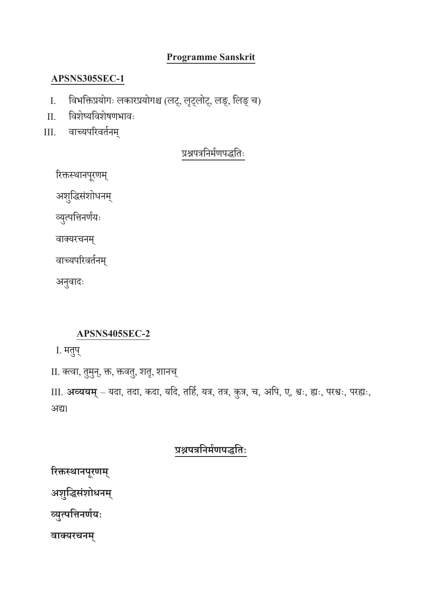## **Programme Sanskrit**

## **APSNS305SEC-1**

- I. विभविप्रयोगः लकारप्रयोगश्च (लट्, लटृ्लोट्, लङ्, वलङ्च)
- II. विशेष्यविशेषणभािः
- III. िाच्यपररिर्तनम्

## प्रश्नपत्रनिर्मणपद्धतिः

रिक्तस्थानपूरणम्

अशुद्धिसंशोधनम्

व्युत्पत्तिनर्णयः

िाक्तयरचनम्

वाच्यपरिवर्तनम्

अनुवादः

## **APSNS405SEC-2**

I. मर्पु्

II. क्त्वा, तुमुन्, क्त, क्तवतु, शतृ, शानच्

III. **अव्ययम्**– यदा, र्दा, कदा, यवद, र्वहत, यत्र, र्त्र, कुत्र, च, अवप, ए, श्वः, ह्यः, परश्वः, परह्यः, अद्य।

# **प्रश्नपत्रनिममणपद्धन िः**

**रिक्तस्थािपूिणम्**

**अशुनद्धसंशोधिम्**

**व्युत्पनििणमयिः**

**वाक्यिचिम्**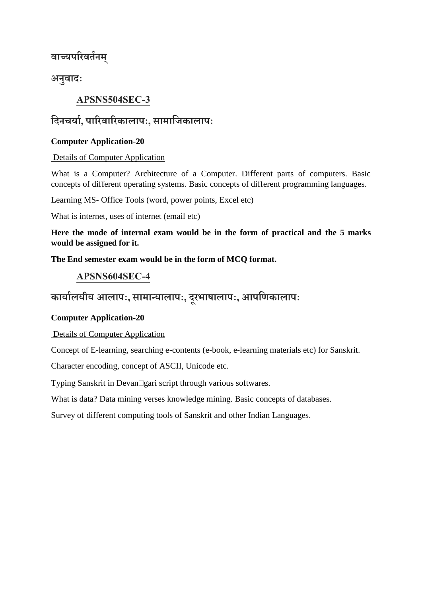## **वाच्यपरिव मिम्**

**अिुवादिः**

## **APSNS504SEC-3**

## **नदिचयाम, पारिवारिकालापिः, सामानिकालापिः**

#### **Computer Application-20**

#### Details of Computer Application

What is a Computer? Architecture of a Computer. Different parts of computers. Basic concepts of different operating systems. Basic concepts of different programming languages.

Learning MS- Office Tools (word, power points, Excel etc)

What is internet, uses of internet (email etc)

**Here the mode of internal exam would be in the form of practical and the 5 marks would be assigned for it.**

**The End semester exam would be in the form of MCQ format.** 

### **APSNS604SEC-4**

# **कायामलयीय आलापिः, सामान्यालापिः, दूिभाषालापिः, आपनणकालापिः**

#### **Computer Application-20**

Details of Computer Application

Concept of E-learning, searching e-contents (e-book, e-learning materials etc) for Sanskrit.

Character encoding, concept of ASCII, Unicode etc.

Typing Sanskrit in Devan□gari script through various softwares.

What is data? Data mining verses knowledge mining. Basic concepts of databases.

Survey of different computing tools of Sanskrit and other Indian Languages.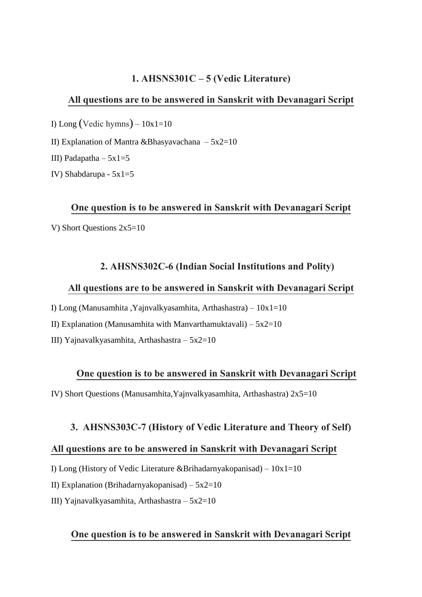#### **1. AHSNS301C –5 (Vedic Literature)**

#### **All questions are to be answered in Sanskrit with Devanagari Script**

I) Long (Vedic hymns) –  $10x1=10$ 

II) Explanation of Mantra &Bhasyavachana –  $5x2=10$ 

III) Padapatha –  $5x1=5$ 

IV) Shabdarupa - 5x1=5

#### **One question is to be answered in Sanskrit with Devanagari Script**

V) Short Questions 2x5=10

#### **2. AHSNS302C-6(Indian Social Institutions and Polity)**

#### **All questions are to be answered in Sanskrit with Devanagari Script**

I) Long (Manusamhita ,Yajnvalkyasamhita, Arthashastra) – 10x1=10

II) Explanation (Manusamhita with Manvarthamuktavali) –  $5x2=10$ 

III) Yajnavalkyasamhita, Arthashastra – 5x2=10

#### **One question is to be answered in Sanskrit with Devanagari Script**

IV) Short Questions (Manusamhita, Yajnvalkyasamhita, Arthashastra)  $2x5=10$ 

#### **3. AHSNS303C-7(History of Vedic Literature and Theory of Self)**

#### **All questions are to be answered in Sanskrit with Devanagari Script**

I) Long (History of Vedic Literature &Brihadarnyakopanisad) –  $10x1=10$ 

II) Explanation (Brihadarnyakopanisad) –  $5x2=10$ 

III) Yajnavalkyasamhita, Arthashastra –  $5x2=10$ 

#### **One question is to be answered in Sanskrit with Devanagari Script**